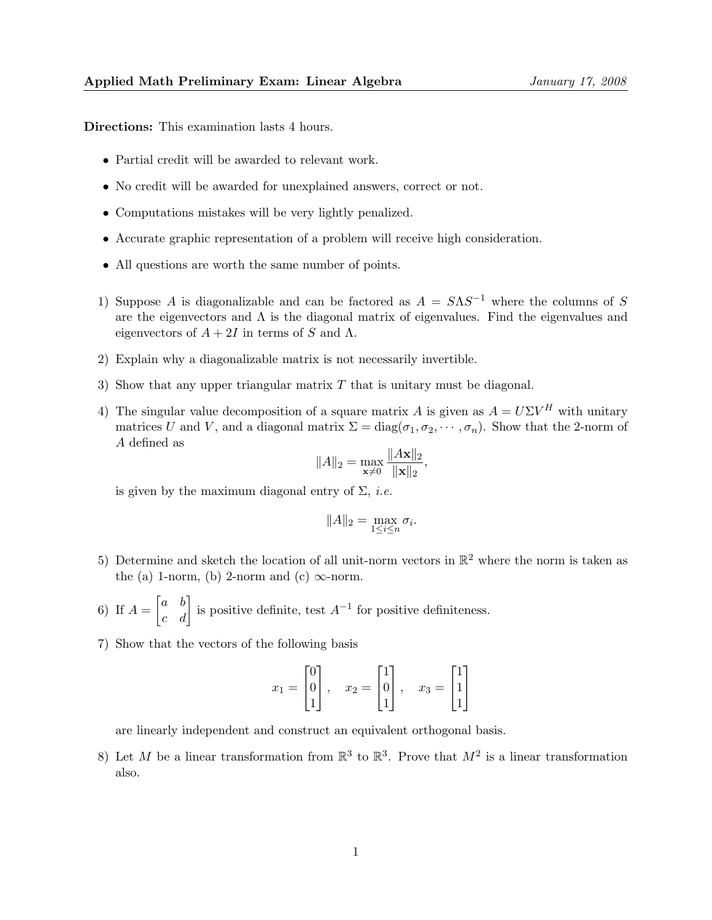Directions: This examination lasts 4 hours.

- Partial credit will be awarded to relevant work.
- No credit will be awarded for unexplained answers, correct or not.
- Computations mistakes will be very lightly penalized.
- Accurate graphic representation of a problem will receive high consideration.
- All questions are worth the same number of points.
- 1) Suppose A is diagonalizable and can be factored as  $A = S\Lambda S^{-1}$  where the columns of S are the eigenvectors and  $\Lambda$  is the diagonal matrix of eigenvalues. Find the eigenvalues and eigenvectors of  $A + 2I$  in terms of S and  $\Lambda$ .
- 2) Explain why a diagonalizable matrix is not necessarily invertible.
- 3) Show that any upper triangular matrix  $T$  that is unitary must be diagonal.
- 4) The singular value decomposition of a square matrix A is given as  $A = U\Sigma V^H$  with unitary matrices U and V, and a diagonal matrix  $\Sigma = diag(\sigma_1, \sigma_2, \cdots, \sigma_n)$ . Show that the 2-norm of A defined as

$$
||A||_2 = \max_{\mathbf{x} \neq 0} \frac{||A\mathbf{x}||_2}{||\mathbf{x}||_2},
$$

is given by the maximum diagonal entry of  $\Sigma$ , *i.e.* 

$$
||A||_2 = \max_{1 \le i \le n} \sigma_i.
$$

- 5) Determine and sketch the location of all unit-norm vectors in  $\mathbb{R}^2$  where the norm is taken as the (a) 1-norm, (b) 2-norm and (c)  $\infty$ -norm.
- 6) If  $A = \begin{bmatrix} a & b \\ c & d \end{bmatrix}$  is positive definite, test  $A^{-1}$  for positive definiteness.
- 7) Show that the vectors of the following basis

$$
x_1 = \begin{bmatrix} 0 \\ 0 \\ 1 \end{bmatrix}, \quad x_2 = \begin{bmatrix} 1 \\ 0 \\ 1 \end{bmatrix}, \quad x_3 = \begin{bmatrix} 1 \\ 1 \\ 1 \end{bmatrix}
$$

are linearly independent and construct an equivalent orthogonal basis.

8) Let M be a linear transformation from  $\mathbb{R}^3$  to  $\mathbb{R}^3$ . Prove that  $M^2$  is a linear transformation also.